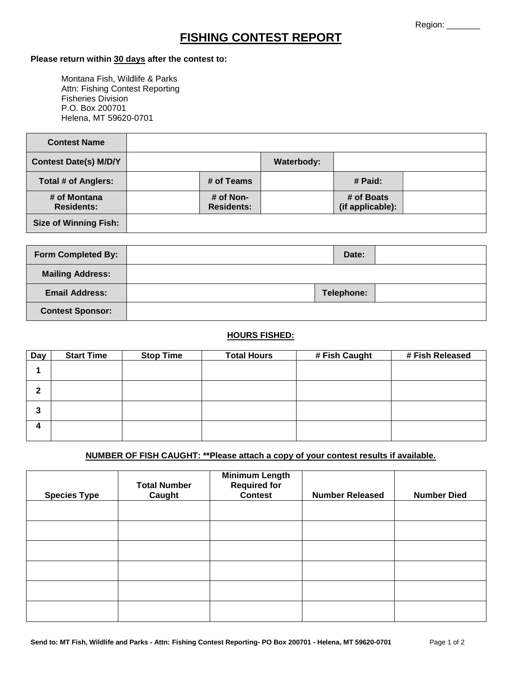# **FISHING CONTEST REPORT**

#### **Please return within 30 days after the contest to:**

Montana Fish, Wildlife & Parks Attn: Fishing Contest Reporting Fisheries Division P.O. Box 200701 Helena, MT 59620-0701

| <b>Contest Name</b>               |                                |                   |                                |  |
|-----------------------------------|--------------------------------|-------------------|--------------------------------|--|
| <b>Contest Date(s) M/D/Y</b>      |                                | <b>Waterbody:</b> |                                |  |
| Total # of Anglers:               | # of Teams                     |                   | # Paid:                        |  |
| # of Montana<br><b>Residents:</b> | # of Non-<br><b>Residents:</b> |                   | # of Boats<br>(if applicable): |  |
| <b>Size of Winning Fish:</b>      |                                |                   |                                |  |

| <b>Form Completed By:</b> | Date:      |  |
|---------------------------|------------|--|
| <b>Mailing Address:</b>   |            |  |
| <b>Email Address:</b>     | Telephone: |  |
| <b>Contest Sponsor:</b>   |            |  |

### **HOURS FISHED:**

| Day | <b>Start Time</b> | <b>Stop Time</b> | <b>Total Hours</b> | # Fish Caught | # Fish Released |
|-----|-------------------|------------------|--------------------|---------------|-----------------|
|     |                   |                  |                    |               |                 |
| 2   |                   |                  |                    |               |                 |
| 3   |                   |                  |                    |               |                 |
| 4   |                   |                  |                    |               |                 |

## **NUMBER OF FISH CAUGHT: \*\*Please attach a copy of your contest results if available.**

| <b>Species Type</b> | <b>Total Number</b><br>Caught | <b>Minimum Length</b><br><b>Required for</b><br><b>Contest</b> | <b>Number Released</b> | <b>Number Died</b> |
|---------------------|-------------------------------|----------------------------------------------------------------|------------------------|--------------------|
|                     |                               |                                                                |                        |                    |
|                     |                               |                                                                |                        |                    |
|                     |                               |                                                                |                        |                    |
|                     |                               |                                                                |                        |                    |
|                     |                               |                                                                |                        |                    |
|                     |                               |                                                                |                        |                    |